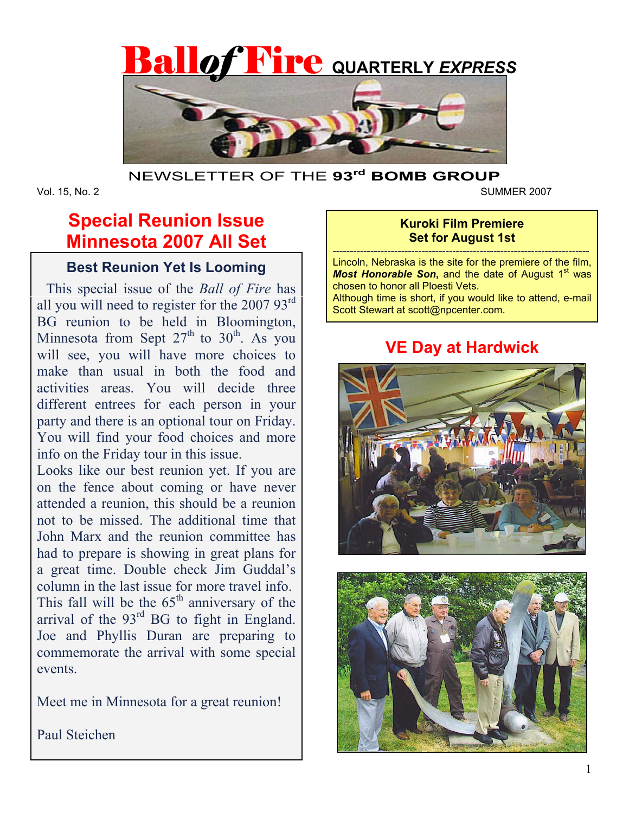

## NEWSLETTER OF THE **93rd BOMB GROUP**

Vol. 15, No. 2 SUMMER 2007

# **Special Reunion Issue Minnesota 2007 All Set**

# **Best Reunion Yet Is Looming**

 This special issue of the *Ball of Fire* has all you will need to register for the 2007 93rd BG reunion to be held in Bloomington, Minnesota from Sept  $27<sup>th</sup>$  to  $30<sup>th</sup>$ . As you will see, you will have more choices to make than usual in both the food and activities areas. You will decide three different entrees for each person in your party and there is an optional tour on Friday. You will find your food choices and more info on the Friday tour in this issue.

Looks like our best reunion yet. If you are on the fence about coming or have never attended a reunion, this should be a reunion not to be missed. The additional time that John Marx and the reunion committee has had to prepare is showing in great plans for a great time. Double check Jim Guddal's column in the last issue for more travel info. This fall will be the  $65<sup>th</sup>$  anniversary of the arrival of the  $93<sup>rd</sup>$  BG to fight in England. Joe and Phyllis Duran are preparing to commemorate the arrival with some special events.

Meet me in Minnesota for a great reunion!

Paul Steichen

## **Kuroki Film Premiere Set for August 1st**

--------------------------------------------------------------------------- Lincoln, Nebraska is the site for the premiere of the film, **Most Honorable Son, and the date of August 1<sup>st</sup> was** chosen to honor all Ploesti Vets. Although time is short, if you would like to attend, e-mail

Scott Stewart at scott@npcenter.com.

# **VE Day at Hardwick**



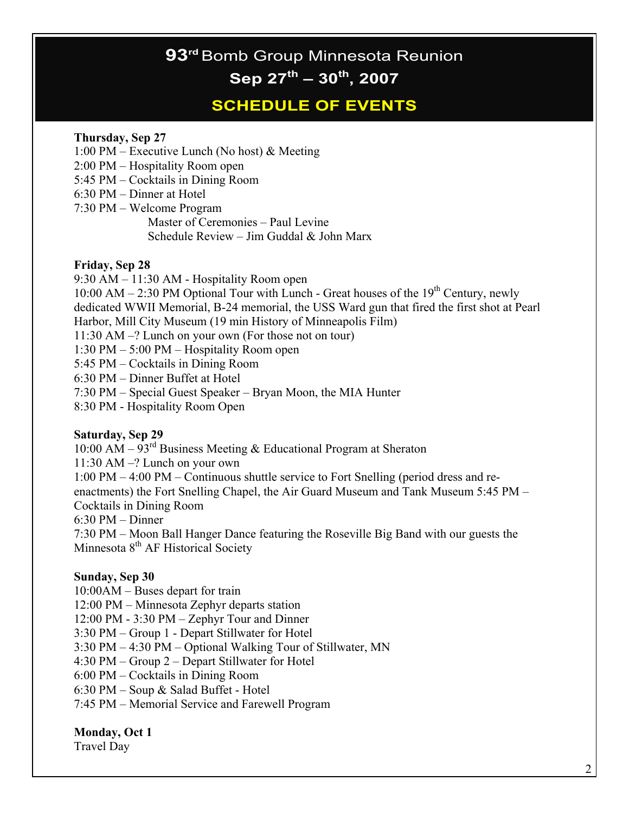# **93rd** Bomb Group Minnesota Reunion **Sep 27th – 30th, 2007**

# **SCHEDULE OF EVENTS**

#### **Thursday, Sep 27**

1:00 PM – Executive Lunch (No host) & Meeting

2:00 PM – Hospitality Room open

5:45 PM – Cocktails in Dining Room

6:30 PM – Dinner at Hotel

7:30 PM – Welcome Program Master of Ceremonies – Paul Levine Schedule Review – Jim Guddal & John Marx

#### **Friday, Sep 28**

9:30 AM – 11:30 AM - Hospitality Room open

10:00 AM – 2:30 PM Optional Tour with Lunch - Great houses of the  $19<sup>th</sup>$  Century, newly dedicated WWII Memorial, B-24 memorial, the USS Ward gun that fired the first shot at Pearl Harbor, Mill City Museum (19 min History of Minneapolis Film)

11:30 AM –? Lunch on your own (For those not on tour)

1:30 PM – 5:00 PM – Hospitality Room open

5:45 PM – Cocktails in Dining Room

6:30 PM – Dinner Buffet at Hotel

7:30 PM – Special Guest Speaker – Bryan Moon, the MIA Hunter

8:30 PM - Hospitality Room Open

#### **Saturday, Sep 29**

10:00 AM –  $93<sup>rd</sup>$  Business Meeting & Educational Program at Sheraton

11:30 AM –? Lunch on your own

1:00 PM – 4:00 PM – Continuous shuttle service to Fort Snelling (period dress and reenactments) the Fort Snelling Chapel, the Air Guard Museum and Tank Museum 5:45 PM – Cocktails in Dining Room

6:30 PM – Dinner

7:30 PM – Moon Ball Hanger Dance featuring the Roseville Big Band with our guests the Minnesota 8<sup>th</sup> AF Historical Society

#### **Sunday, Sep 30**

10:00AM – Buses depart for train 12:00 PM – Minnesota Zephyr departs station 12:00 PM - 3:30 PM – Zephyr Tour and Dinner 3:30 PM – Group 1 - Depart Stillwater for Hotel 3:30 PM – 4:30 PM – Optional Walking Tour of Stillwater, MN 4:30 PM – Group 2 – Depart Stillwater for Hotel 6:00 PM – Cocktails in Dining Room 6:30 PM – Soup & Salad Buffet - Hotel 7:45 PM – Memorial Service and Farewell Program

#### **Monday, Oct 1**

Travel Day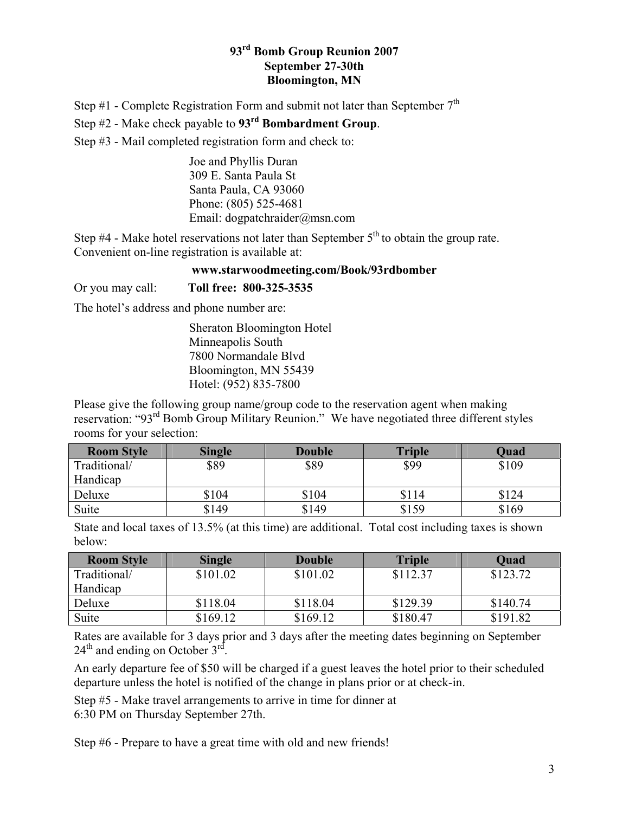## **93rd Bomb Group Reunion 2007 September 27-30th Bloomington, MN**

Step #1 - Complete Registration Form and submit not later than September  $7<sup>th</sup>$ 

Step #2 - Make check payable to **93rd Bombardment Group**.

Step #3 - Mail completed registration form and check to:

Joe and Phyllis Duran 309 E. Santa Paula St Santa Paula, CA 93060 Phone: (805) 525-4681 Email: dogpatchraider@msn.com

Step  $#4$  - Make hotel reservations not later than September  $5<sup>th</sup>$  to obtain the group rate. Convenient on-line registration is available at:

#### **www.starwoodmeeting.com/Book/93rdbomber**

Or you may call: **Toll free: 800-325-3535**

The hotel's address and phone number are:

Sheraton Bloomington Hotel Minneapolis South 7800 Normandale Blvd Bloomington, MN 55439 Hotel: (952) 835-7800

Please give the following group name/group code to the reservation agent when making reservation: "93rd Bomb Group Military Reunion." We have negotiated three different styles rooms for your selection:

| <b>Room Style</b> | <b>Single</b> | <b>Double</b> | <b>Triple</b> | Quad  |
|-------------------|---------------|---------------|---------------|-------|
| Traditional/      | \$89          | \$89          | \$99          | \$109 |
| Handicap          |               |               |               |       |
| Deluxe            | \$104         | \$104         | \$114         | \$124 |
| Suite             | \$149         | \$149         | \$159         | \$169 |

State and local taxes of 13.5% (at this time) are additional. Total cost including taxes is shown below:

| <b>Room Style</b> | <b>Single</b> | <b>Double</b> | <b>Triple</b> | <b>Quad</b> |
|-------------------|---------------|---------------|---------------|-------------|
| Traditional/      | \$101.02      | \$101.02      | \$112.37      | \$123.72    |
| Handicap          |               |               |               |             |
| Deluxe            | \$118.04      | \$118.04      | \$129.39      | \$140.74    |
| Suite             | \$169.12      | \$169.12      | \$180.47      | \$191.82    |

Rates are available for 3 days prior and 3 days after the meeting dates beginning on September  $24<sup>th</sup>$  and ending on October  $3<sup>rd</sup>$ .

An early departure fee of \$50 will be charged if a guest leaves the hotel prior to their scheduled departure unless the hotel is notified of the change in plans prior or at check-in.

Step #5 - Make travel arrangements to arrive in time for dinner at

6:30 PM on Thursday September 27th.

Step #6 - Prepare to have a great time with old and new friends!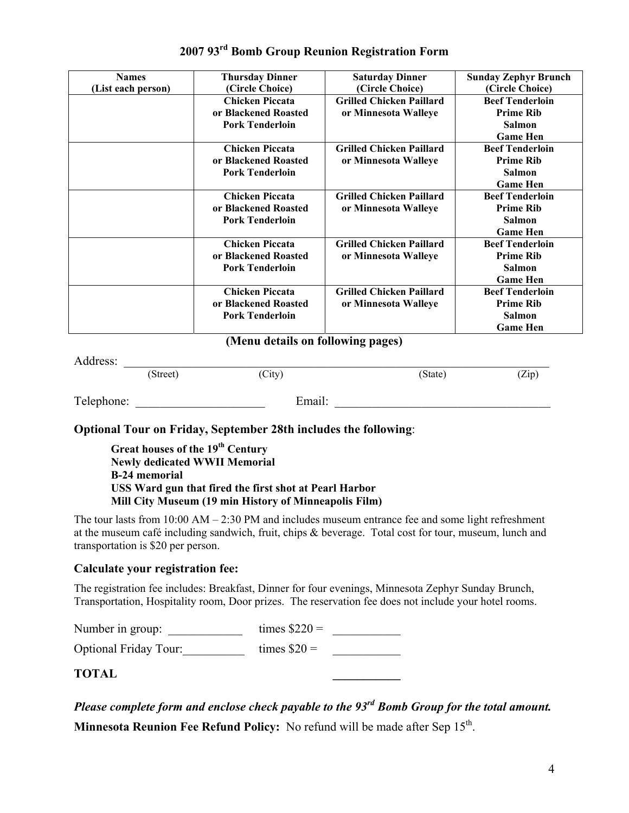| <b>Names</b>       | <b>Thursday Dinner</b> | <b>Saturday Dinner</b>          | <b>Sunday Zephyr Brunch</b> |
|--------------------|------------------------|---------------------------------|-----------------------------|
| (List each person) | (Circle Choice)        | (Circle Choice)                 | (Circle Choice)             |
|                    | <b>Chicken Piccata</b> | <b>Grilled Chicken Paillard</b> | <b>Beef Tenderloin</b>      |
|                    | or Blackened Roasted   | or Minnesota Walleye            | <b>Prime Rib</b>            |
|                    | <b>Pork Tenderloin</b> |                                 | <b>Salmon</b>               |
|                    |                        |                                 | <b>Game Hen</b>             |
|                    | <b>Chicken Piccata</b> | <b>Grilled Chicken Paillard</b> | <b>Beef Tenderloin</b>      |
|                    | or Blackened Roasted   | or Minnesota Walleye            | <b>Prime Rib</b>            |
|                    | <b>Pork Tenderloin</b> |                                 | <b>Salmon</b>               |
|                    |                        |                                 | <b>Game Hen</b>             |
|                    | <b>Chicken Piccata</b> | <b>Grilled Chicken Paillard</b> | <b>Beef Tenderloin</b>      |
|                    | or Blackened Roasted   | or Minnesota Walleye            | <b>Prime Rib</b>            |
|                    | <b>Pork Tenderloin</b> |                                 | <b>Salmon</b>               |
|                    |                        |                                 | <b>Game Hen</b>             |
|                    | <b>Chicken Piccata</b> | <b>Grilled Chicken Paillard</b> | <b>Beef Tenderloin</b>      |
|                    | or Blackened Roasted   | or Minnesota Walleye            | <b>Prime Rib</b>            |
|                    | <b>Pork Tenderloin</b> |                                 | <b>Salmon</b>               |
|                    |                        |                                 | <b>Game Hen</b>             |
|                    | <b>Chicken Piccata</b> | <b>Grilled Chicken Paillard</b> | <b>Beef Tenderloin</b>      |
|                    | or Blackened Roasted   | or Minnesota Walleye            | <b>Prime Rib</b>            |
|                    | <b>Pork Tenderloin</b> |                                 | <b>Salmon</b>               |
|                    |                        |                                 | <b>Game Hen</b>             |

## **2007 93rd Bomb Group Reunion Registration Form**

### **(Menu details on following pages)**

Address:  $\frac{S(treet)}{(Street)}$ (Street) (City) (State) (Zip) Telephone: Email:

#### **Optional Tour on Friday, September 28th includes the following**:

**Great houses of the 19th Century Newly dedicated WWII Memorial B-24 memorial USS Ward gun that fired the first shot at Pearl Harbor Mill City Museum (19 min History of Minneapolis Film)** 

The tour lasts from 10:00 AM – 2:30 PM and includes museum entrance fee and some light refreshment at the museum café including sandwich, fruit, chips & beverage. Total cost for tour, museum, lunch and transportation is \$20 per person.

#### **Calculate your registration fee:**

The registration fee includes: Breakfast, Dinner for four evenings, Minnesota Zephyr Sunday Brunch, Transportation, Hospitality room, Door prizes. The reservation fee does not include your hotel rooms.

| Number in group:             | times $\$220 =$ |  |
|------------------------------|-----------------|--|
| <b>Optional Friday Tour:</b> | times $\$20 =$  |  |

**TOTAL \_\_\_\_\_\_\_\_\_\_\_** 

*Please complete form and enclose check payable to the 93rd Bomb Group for the total amount.* 

**Minnesota Reunion Fee Refund Policy:** No refund will be made after Sep 15<sup>th</sup>.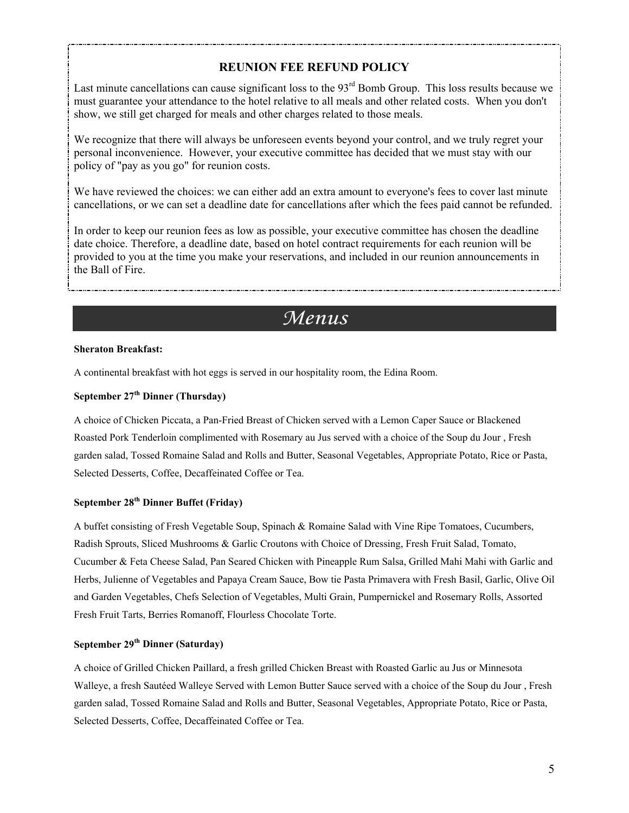## **REUNION FEE REFUND POLICY**

Last minute cancellations can cause significant loss to the  $93<sup>rd</sup>$  Bomb Group. This loss results because we must guarantee your attendance to the hotel relative to all meals and other related costs. When you don't show, we still get charged for meals and other charges related to those meals.

We recognize that there will always be unforeseen events beyond your control, and we truly regret your personal inconvenience. However, your executive committee has decided that we must stay with our policy of "pay as you go" for reunion costs.

We have reviewed the choices: we can either add an extra amount to everyone's fees to cover last minute cancellations, or we can set a deadline date for cancellations after which the fees paid cannot be refunded.

In order to keep our reunion fees as low as possible, your executive committee has chosen the deadline date choice. Therefore, a deadline date, based on hotel contract requirements for each reunion will be provided to you at the time you make your reservations, and included in our reunion announcements in the Ball of Fire.

# *Menus*

#### **Sheraton Breakfast:**

A continental breakfast with hot eggs is served in our hospitality room, the Edina Room.

#### **September 27th Dinner (Thursday)**

A choice of Chicken Piccata, a Pan-Fried Breast of Chicken served with a Lemon Caper Sauce or Blackened Roasted Pork Tenderloin complimented with Rosemary au Jus served with a choice of the Soup du Jour , Fresh garden salad, Tossed Romaine Salad and Rolls and Butter, Seasonal Vegetables, Appropriate Potato, Rice or Pasta, Selected Desserts, Coffee, Decaffeinated Coffee or Tea.

### **September 28th Dinner Buffet (Friday)**

A buffet consisting of Fresh Vegetable Soup, Spinach & Romaine Salad with Vine Ripe Tomatoes, Cucumbers, Radish Sprouts, Sliced Mushrooms & Garlic Croutons with Choice of Dressing, Fresh Fruit Salad, Tomato, Cucumber & Feta Cheese Salad, Pan Seared Chicken with Pineapple Rum Salsa, Grilled Mahi Mahi with Garlic and Herbs, Julienne of Vegetables and Papaya Cream Sauce, Bow tie Pasta Primavera with Fresh Basil, Garlic, Olive Oil and Garden Vegetables, Chefs Selection of Vegetables, Multi Grain, Pumpernickel and Rosemary Rolls, Assorted Fresh Fruit Tarts, Berries Romanoff, Flourless Chocolate Torte.

#### **September 29th Dinner (Saturday)**

A choice of Grilled Chicken Paillard, a fresh grilled Chicken Breast with Roasted Garlic au Jus or Minnesota Walleye, a fresh Sautéed Walleye Served with Lemon Butter Sauce served with a choice of the Soup du Jour , Fresh garden salad, Tossed Romaine Salad and Rolls and Butter, Seasonal Vegetables, Appropriate Potato, Rice or Pasta, Selected Desserts, Coffee, Decaffeinated Coffee or Tea.